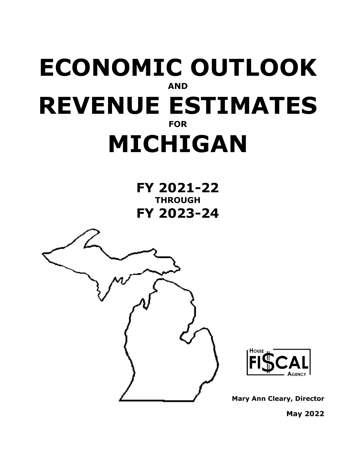# **ECONOMIC OUTLOOK AND REVENUE ESTIMATES FOR MICHIGAN**

**FY 2021-22 THROUGH FY 2023-24**





**Mary Ann Cleary, Director**

**May 2022**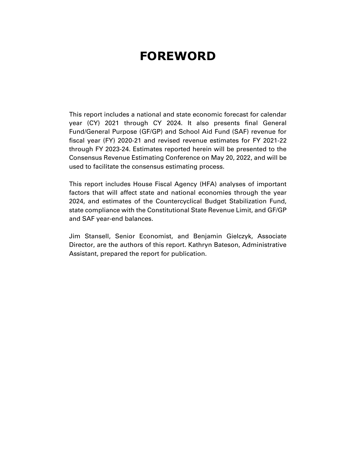### **FOREWORD**

This report includes a national and state economic forecast for calendar year (CY) 2021 through CY 2024. It also presents final General Fund/General Purpose (GF/GP) and School Aid Fund (SAF) revenue for fiscal year (FY) 2020-21 and revised revenue estimates for FY 2021-22 through FY 2023-24. Estimates reported herein will be presented to the Consensus Revenue Estimating Conference on May 20, 2022, and will be used to facilitate the consensus estimating process.

This report includes House Fiscal Agency (HFA) analyses of important factors that will affect state and national economies through the year 2024, and estimates of the Countercyclical Budget Stabilization Fund, state compliance with the Constitutional State Revenue Limit, and GF/GP and SAF year-end balances.

Jim Stansell, Senior Economist, and Benjamin Gielczyk, Associate Director, are the authors of this report. Kathryn Bateson, Administrative Assistant, prepared the report for publication.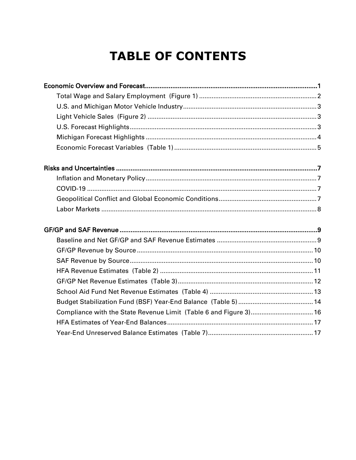### **TABLE OF CONTENTS**

| Compliance with the State Revenue Limit (Table 6 and Figure 3) 16 |  |
|-------------------------------------------------------------------|--|
|                                                                   |  |
|                                                                   |  |
|                                                                   |  |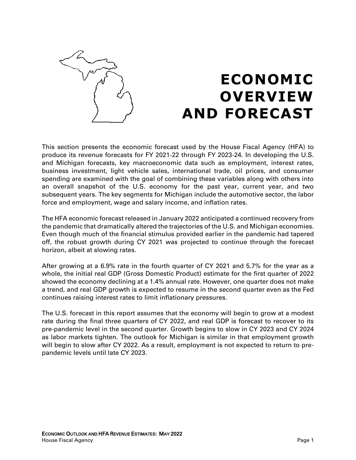

## **ECONOMIC OVERVIEW AND FORECAST**

This section presents the economic forecast used by the House Fiscal Agency (HFA) to produce its revenue forecasts for FY 2021-22 through FY 2023-24. In developing the U.S. and Michigan forecasts, key macroeconomic data such as employment, interest rates, business investment, light vehicle sales, international trade, oil prices, and consumer spending are examined with the goal of combining these variables along with others into an overall snapshot of the U.S. economy for the past year, current year, and two subsequent years. The key segments for Michigan include the automotive sector, the labor force and employment, wage and salary income, and inflation rates.

The HFA economic forecast released in January 2022 anticipated a continued recovery from the pandemic that dramatically altered the trajectories of the U.S. and Michigan economies. Even though much of the financial stimulus provided earlier in the pandemic had tapered off, the robust growth during CY 2021 was projected to continue through the forecast horizon, albeit at slowing rates.

After growing at a 6.9% rate in the fourth quarter of CY 2021 and 5.7% for the year as a whole, the initial real GDP (Gross Domestic Product) estimate for the first quarter of 2022 showed the economy declining at a 1.4% annual rate. However, one quarter does not make a trend, and real GDP growth is expected to resume in the second quarter even as the Fed continues raising interest rates to limit inflationary pressures.

The U.S. forecast in this report assumes that the economy will begin to grow at a modest rate during the final three quarters of CY 2022, and real GDP is forecast to recover to its pre-pandemic level in the second quarter. Growth begins to slow in CY 2023 and CY 2024 as labor markets tighten. The outlook for Michigan is similar in that employment growth will begin to slow after CY 2022. As a result, employment is not expected to return to prepandemic levels until late CY 2023.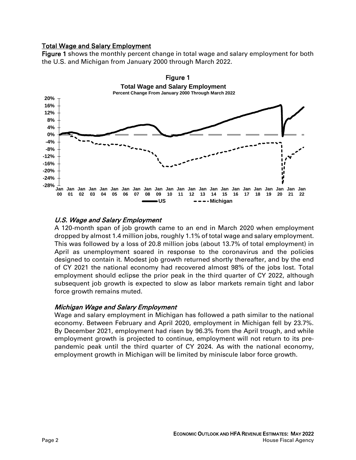### Total Wage and Salary Employment

Figure 1 shows the monthly percent change in total wage and salary employment for both the U.S. and Michigan from January 2000 through March 2022.



### U.S. Wage and Salary Employment

A 120-month span of job growth came to an end in March 2020 when employment dropped by almost 1.4 million jobs, roughly 1.1% of total wage and salary employment. This was followed by a loss of 20.8 million jobs (about 13.7% of total employment) in April as unemployment soared in response to the coronavirus and the policies designed to contain it. Modest job growth returned shortly thereafter, and by the end of CY 2021 the national economy had recovered almost 98% of the jobs lost. Total employment should eclipse the prior peak in the third quarter of CY 2022, although subsequent job growth is expected to slow as labor markets remain tight and labor force growth remains muted.

#### Michigan Wage and Salary Employment

Wage and salary employment in Michigan has followed a path similar to the national economy. Between February and April 2020, employment in Michigan fell by 23.7%. By December 2021, employment had risen by 96.3% from the April trough, and while employment growth is projected to continue, employment will not return to its prepandemic peak until the third quarter of CY 2024. As with the national economy, employment growth in Michigan will be limited by miniscule labor force growth.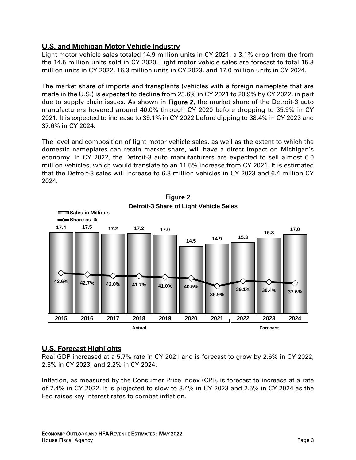### U.S. and Michigan Motor Vehicle Industry

Light motor vehicle sales totaled 14.9 million units in CY 2021, a 3.1% drop from the from the 14.5 million units sold in CY 2020. Light motor vehicle sales are forecast to total 15.3 million units in CY 2022, 16.3 million units in CY 2023, and 17.0 million units in CY 2024.

The market share of imports and transplants (vehicles with a foreign nameplate that are made in the U.S.) is expected to decline from 23.6% in CY 2021 to 20.9% by CY 2022, in part due to supply chain issues. As shown in Figure 2, the market share of the Detroit-3 auto manufacturers hovered around 40.0% through CY 2020 before dropping to 35.9% in CY 2021. It is expected to increase to 39.1% in CY 2022 before dipping to 38.4% in CY 2023 and 37.6% in CY 2024.

The level and composition of light motor vehicle sales, as well as the extent to which the domestic nameplates can retain market share, will have a direct impact on Michigan's economy. In CY 2022, the Detroit-3 auto manufacturers are expected to sell almost 6.0 million vehicles, which would translate to an 11.5% increase from CY 2021. It is estimated that the Detroit-3 sales will increase to 6.3 million vehicles in CY 2023 and 6.4 million CY 2024.



# Figure 2

### U.S. Forecast Highlights

Real GDP increased at a 5.7% rate in CY 2021 and is forecast to grow by 2.6% in CY 2022, 2.3% in CY 2023, and 2.2% in CY 2024.

Inflation, as measured by the Consumer Price Index (CPI), is forecast to increase at a rate of 7.4% in CY 2022. It is projected to slow to 3.4% in CY 2023 and 2.5% in CY 2024 as the Fed raises key interest rates to combat inflation.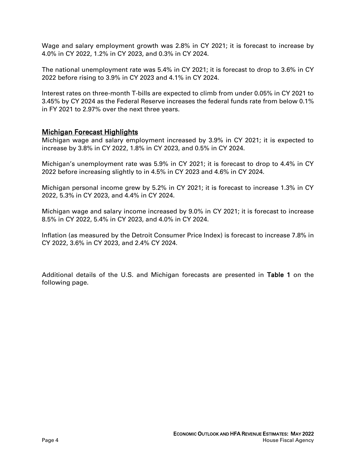Wage and salary employment growth was 2.8% in CY 2021; it is forecast to increase by 4.0% in CY 2022, 1.2% in CY 2023, and 0.3% in CY 2024.

The national unemployment rate was 5.4% in CY 2021; it is forecast to drop to 3.6% in CY 2022 before rising to 3.9% in CY 2023 and 4.1% in CY 2024.

Interest rates on three-month T-bills are expected to climb from under 0.05% in CY 2021 to 3.45% by CY 2024 as the Federal Reserve increases the federal funds rate from below 0.1% in FY 2021 to 2.97% over the next three years.

### Michigan Forecast Highlights

Michigan wage and salary employment increased by 3.9% in CY 2021; it is expected to increase by 3.8% in CY 2022, 1.8% in CY 2023, and 0.5% in CY 2024.

Michigan's unemployment rate was 5.9% in CY 2021; it is forecast to drop to 4.4% in CY 2022 before increasing slightly to in 4.5% in CY 2023 and 4.6% in CY 2024.

Michigan personal income grew by 5.2% in CY 2021; it is forecast to increase 1.3% in CY 2022, 5.3% in CY 2023, and 4.4% in CY 2024.

Michigan wage and salary income increased by 9.0% in CY 2021; it is forecast to increase 8.5% in CY 2022, 5.4% in CY 2023, and 4.0% in CY 2024.

Inflation (as measured by the Detroit Consumer Price Index) is forecast to increase 7.8% in CY 2022, 3.6% in CY 2023, and 2.4% CY 2024.

Additional details of the U.S. and Michigan forecasts are presented in Table 1 on the following page.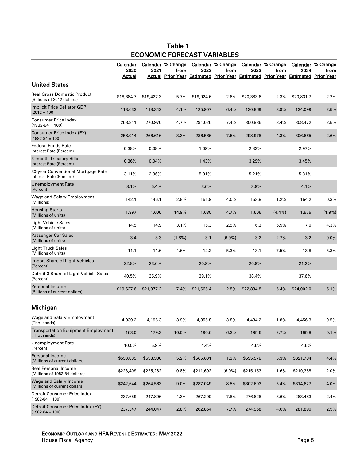### Table 1 ECONOMIC FORECAST VARIABLES

|                                                                  | Calendar<br>2020<br><u>Actual</u> | 2021       | Calendar % Change<br>from | 2022       | Calendar % Change<br>from<br>Actual Prior Year Estimated Prior Year Estimated Prior Year Estimated Prior Year | 2023       | Calendar % Change<br>from | 2024       | Calendar % Change<br>from |
|------------------------------------------------------------------|-----------------------------------|------------|---------------------------|------------|---------------------------------------------------------------------------------------------------------------|------------|---------------------------|------------|---------------------------|
| <b>United States</b>                                             |                                   |            |                           |            |                                                                                                               |            |                           |            |                           |
| <b>Real Gross Domestic Product</b><br>(Billions of 2012 dollars) | \$18,384.7                        | \$19,427.3 | 5.7%                      | \$19,924.6 | 2.6%                                                                                                          | \$20,383.6 | 2.3%                      | \$20,831.7 | 2.2%                      |
| Implicit Price Deflator GDP<br>$(2012 = 100)$                    | 113.633                           | 118.342    | 4.1%                      | 125.907    | 6.4%                                                                                                          | 130.869    | 3.9%                      | 134.099    | 2.5%                      |
| <b>Consumer Price Index</b><br>$(1982 - 84 = 100)$               | 258.811                           | 270.970    | 4.7%                      | 291.026    | 7.4%                                                                                                          | 300.936    | 3.4%                      | 308.472    | 2.5%                      |
| Consumer Price Index (FY)<br>$(1982 - 84 = 100)$                 | 258.014                           | 266.616    | 3.3%                      | 286.566    | 7.5%                                                                                                          | 298.978    | 4.3%                      | 306.665    | 2.6%                      |
| <b>Federal Funds Rate</b><br>Interest Rate (Percent)             | 0.38%                             | 0.08%      |                           | 1.09%      |                                                                                                               | 2.83%      |                           | 2.97%      |                           |
| 3-month Treasury Bills<br>Interest Rate (Percent)                | 0.36%                             | 0.04%      |                           | 1.43%      |                                                                                                               | 3.29%      |                           | 3.45%      |                           |
| 30-year Conventional Mortgage Rate<br>Interest Rate (Percent)    | 3.11%                             | 2.96%      |                           | 5.01%      |                                                                                                               | 5.21%      |                           | 5.31%      |                           |
| <b>Unemployment Rate</b><br>(Percent)                            | 8.1%                              | 5.4%       |                           | 3.6%       |                                                                                                               | 3.9%       |                           | 4.1%       |                           |
| Wage and Salary Employment<br>(Millions)                         | 142.1                             | 146.1      | 2.8%                      | 151.9      | 4.0%                                                                                                          | 153.8      | 1.2%                      | 154.2      | 0.3%                      |
| <b>Housing Starts</b><br>(Millions of units)                     | 1.397                             | 1.605      | 14.9%                     | 1.680      | 4.7%                                                                                                          | 1.606      | $(4.4\%)$                 | 1.575      | $(1.9\%)$                 |
| <b>Light Vehicle Sales</b><br>(Millions of units)                | 14.5                              | 14.9       | 3.1%                      | 15.3       | 2.5%                                                                                                          | 16.3       | 6.5%                      | 17.0       | 4.3%                      |
| Passenger Car Sales<br>(Millions of units)                       | 3.4                               | 3.3        | $(1.8\%)$                 | 3.1        | $(6.9\%)$                                                                                                     | 3.2        | 2.7%                      | 3.2        | 0.0%                      |
| Light Truck Sales<br>(Millions of units)                         | 11.1                              | 11.6       | 4.6%                      | 12.2       | 5.3%                                                                                                          | 13.1       | 7.5%                      | 13.8       | 5.3%                      |
| Import Share of Light Vehicles<br>(Percent)                      | 22.8%                             | 23.6%      |                           | 20.9%      |                                                                                                               | 20.9%      |                           | 21.2%      |                           |
| Detroit-3 Share of Light Vehicle Sales<br>(Percent)              | 40.5%                             | 35.9%      |                           | 39.1%      |                                                                                                               | 38.4%      |                           | 37.6%      |                           |
| Personal Income<br>(Billions of current dollars)                 | \$19,627.6                        | \$21,077.2 | 7.4%                      | \$21,665.4 | 2.8%                                                                                                          | \$22,834.8 | 5.4%                      | \$24,002.0 | 5.1%                      |
| <b>Michigan</b>                                                  |                                   |            |                           |            |                                                                                                               |            |                           |            |                           |
| Wage and Salary Employment<br>(Thousands)                        | 4,039.2                           | 4,196.3    | 3.9%                      | 4,355.8    | 3.8%                                                                                                          | 4,434.2    | 1.8%                      | 4,456.3    | 0.5%                      |
| <b>Transportation Equipment Employment</b><br>(Thousands)        | 163.0                             | 179.3      | 10.0%                     | 190.6      | 6.3%                                                                                                          | 195.6      | 2.7%                      | 195.8      | 0.1%                      |
| Unemployment Rate<br>(Percent)                                   | 10.0%                             | 5.9%       |                           | 4.4%       |                                                                                                               | 4.5%       |                           | 4.6%       |                           |
| Personal Income<br>(Millions of current dollars)                 | \$530,809                         | \$558,330  | 5.2%                      | \$565,601  | 1.3%                                                                                                          | \$595,578  | 5.3%                      | \$621,784  | 4.4%                      |
| <b>Real Personal Income</b><br>(Millions of 1982-84 dollars)     | \$223,409                         | \$225,282  | 0.8%                      | \$211,692  | $(6.0\%)$                                                                                                     | \$215,153  | 1.6%                      | \$219,358  | 2.0%                      |
| Wage and Salary Income<br>(Millions of current dollars)          | \$242,644                         | \$264,563  | $9.0\%$                   | \$287,049  | 8.5%                                                                                                          | \$302,603  | 5.4%                      | \$314,627  | 4.0%                      |
| Detroit Consumer Price Index<br>$(1982 - 84 = 100)$              | 237.659                           | 247.806    | 4.3%                      | 267.200    | 7.8%                                                                                                          | 276.828    | 3.6%                      | 283.483    | 2.4%                      |
| Detroit Consumer Price Index (FY)<br>$(1982 - 84 = 100)$         | 237.347                           | 244.047    | 2.8%                      | 262.864    | 7.7%                                                                                                          | 274.958    | 4.6%                      | 281.890    | 2.5%                      |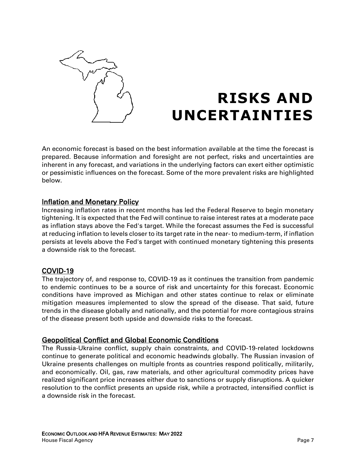

## **RISKS AND UNCERTAINTIES**

An economic forecast is based on the best information available at the time the forecast is prepared. Because information and foresight are not perfect, risks and uncertainties are inherent in any forecast, and variations in the underlying factors can exert either optimistic or pessimistic influences on the forecast. Some of the more prevalent risks are highlighted below.

### Inflation and Monetary Policy

Increasing inflation rates in recent months has led the Federal Reserve to begin monetary tightening. It is expected that the Fed will continue to raise interest rates at a moderate pace as inflation stays above the Fed's target. While the forecast assumes the Fed is successful at reducing inflation to levels closer to its target rate in the near- to medium-term, if inflation persists at levels above the Fed's target with continued monetary tightening this presents a downside risk to the forecast.

### COVID-19

The trajectory of, and response to, COVID-19 as it continues the transition from pandemic to endemic continues to be a source of risk and uncertainty for this forecast. Economic conditions have improved as Michigan and other states continue to relax or eliminate mitigation measures implemented to slow the spread of the disease. That said, future trends in the disease globally and nationally, and the potential for more contagious strains of the disease present both upside and downside risks to the forecast.

### Geopolitical Conflict and Global Economic Conditions

The Russia-Ukraine conflict, supply chain constraints, and COVID-19-related lockdowns continue to generate political and economic headwinds globally. The Russian invasion of Ukraine presents challenges on multiple fronts as countries respond politically, militarily, and economically. Oil, gas, raw materials, and other agricultural commodity prices have realized significant price increases either due to sanctions or supply disruptions. A quicker resolution to the conflict presents an upside risk, while a protracted, intensified conflict is a downside risk in the forecast.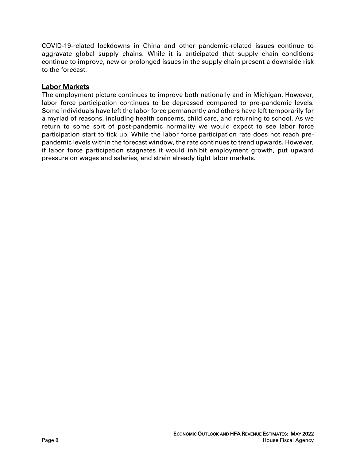COVID-19-related lockdowns in China and other pandemic-related issues continue to aggravate global supply chains. While it is anticipated that supply chain conditions continue to improve, new or prolonged issues in the supply chain present a downside risk to the forecast.

### Labor Markets

The employment picture continues to improve both nationally and in Michigan. However, labor force participation continues to be depressed compared to pre-pandemic levels. Some individuals have left the labor force permanently and others have left temporarily for a myriad of reasons, including health concerns, child care, and returning to school. As we return to some sort of post-pandemic normality we would expect to see labor force participation start to tick up. While the labor force participation rate does not reach prepandemic levels within the forecast window, the rate continues to trend upwards. However, if labor force participation stagnates it would inhibit employment growth, put upward pressure on wages and salaries, and strain already tight labor markets.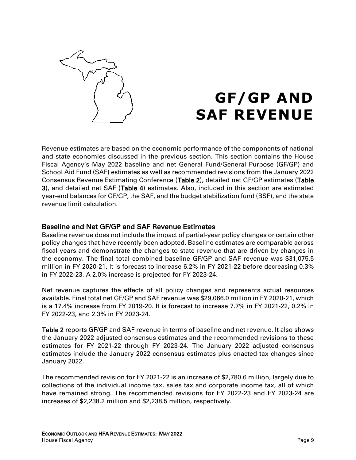

### **GF/GP AND SAF REVENUE**

Revenue estimates are based on the economic performance of the components of national and state economies discussed in the previous section. This section contains the House Fiscal Agency's May 2022 baseline and net General Fund/General Purpose (GF/GP) and School Aid Fund (SAF) estimates as well as recommended revisions from the January 2022 Consensus Revenue Estimating Conference (Table 2), detailed net GF/GP estimates (Table 3), and detailed net SAF (Table 4) estimates. Also, included in this section are estimated year-end balances for GF/GP, the SAF, and the budget stabilization fund (BSF), and the state revenue limit calculation.

### Baseline and Net GF/GP and SAF Revenue Estimates

Baseline revenue does not include the impact of partial-year policy changes or certain other policy changes that have recently been adopted. Baseline estimates are comparable across fiscal years and demonstrate the changes to state revenue that are driven by changes in the economy. The final total combined baseline GF/GP and SAF revenue was \$31,075.5 million in FY 2020-21. It is forecast to increase 6.2% in FY 2021-22 before decreasing 0.3% in FY 2022-23. A 2.0% increase is projected for FY 2023-24.

Net revenue captures the effects of all policy changes and represents actual resources available. Final total net GF/GP and SAF revenue was \$29,066.0 million in FY 2020-21, which is a 17.4% increase from FY 2019-20. It is forecast to increase 7.7% in FY 2021-22, 0.2% in FY 2022-23, and 2.3% in FY 2023-24.

Table 2 reports GF/GP and SAF revenue in terms of baseline and net revenue. It also shows the January 2022 adjusted consensus estimates and the recommended revisions to these estimates for FY 2021-22 through FY 2023-24. The January 2022 adjusted consensus estimates include the January 2022 consensus estimates plus enacted tax changes since January 2022.

The recommended revision for FY 2021-22 is an increase of \$2,780.6 million, largely due to collections of the individual income tax, sales tax and corporate income tax, all of which have remained strong. The recommended revisions for FY 2022-23 and FY 2023-24 are increases of \$2,238.2 million and \$2,238.5 million, respectively.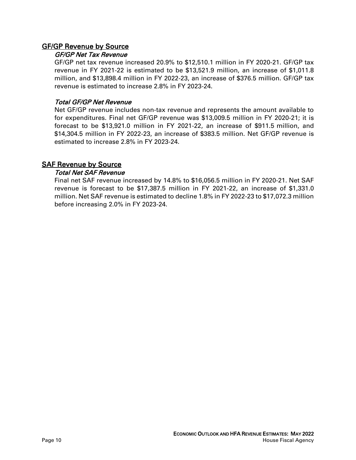### GF/GP Revenue by Source

### GF/GP Net Tax Revenue

GF/GP net tax revenue increased 20.9% to \$12,510.1 million in FY 2020-21. GF/GP tax revenue in FY 2021-22 is estimated to be \$13,521.9 million, an increase of \$1,011.8 million, and \$13,898.4 million in FY 2022-23, an increase of \$376.5 million. GF/GP tax revenue is estimated to increase 2.8% in FY 2023-24.

### Total GF/GP Net Revenue

Net GF/GP revenue includes non-tax revenue and represents the amount available to for expenditures. Final net GF/GP revenue was \$13,009.5 million in FY 2020-21; it is forecast to be \$13,921.0 million in FY 2021-22, an increase of \$911.5 million, and \$14,304.5 million in FY 2022-23, an increase of \$383.5 million. Net GF/GP revenue is estimated to increase 2.8% in FY 2023-24.

### **SAF Revenue by Source**

### Total Net SAF Revenue

Final net SAF revenue increased by 14.8% to \$16,056.5 million in FY 2020-21. Net SAF revenue is forecast to be \$17,387.5 million in FY 2021-22, an increase of \$1,331.0 million. Net SAF revenue is estimated to decline 1.8% in FY 2022-23 to \$17,072.3 million before increasing 2.0% in FY 2023-24.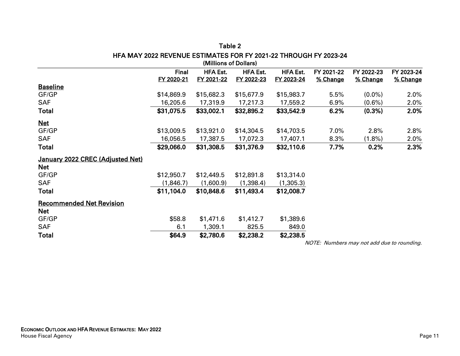|                                  |              | (WILLIOUS OF DOITALS) |                 |                 |            |            |            |
|----------------------------------|--------------|-----------------------|-----------------|-----------------|------------|------------|------------|
|                                  | <b>Final</b> | <b>HFA Est.</b>       | <b>HFA Est.</b> | <b>HFA Est.</b> | FY 2021-22 | FY 2022-23 | FY 2023-24 |
|                                  | FY 2020-21   | FY 2021-22            | FY 2022-23      | FY 2023-24      | % Change   | % Change   | % Change   |
| <b>Baseline</b>                  |              |                       |                 |                 |            |            |            |
| GF/GP                            | \$14,869.9   | \$15,682.3            | \$15,677.9      | \$15,983.7      | 5.5%       | $(0.0\%)$  | 2.0%       |
| <b>SAF</b>                       | 16,205.6     | 17,319.9              | 17,217.3        | 17,559.2        | 6.9%       | $(0.6\%)$  | $2.0\%$    |
| <b>Total</b>                     | \$31,075.5   | \$33,002.1            | \$32,895.2      | \$33,542.9      | 6.2%       | (0.3%)     | 2.0%       |
| <b>Net</b>                       |              |                       |                 |                 |            |            |            |
| GF/GP                            | \$13,009.5   | \$13,921.0            | \$14,304.5      | \$14,703.5      | 7.0%       | 2.8%       | 2.8%       |
| <b>SAF</b>                       | 16,056.5     | 17,387.5              | 17,072.3        | 17,407.1        | 8.3%       | $(1.8\%)$  | 2.0%       |
| <b>Total</b>                     | \$29,066.0   | \$31,308.5            | \$31,376.9      | \$32,110.6      | 7.7%       | 0.2%       | 2.3%       |
| January 2022 CREC (Adjusted Net) |              |                       |                 |                 |            |            |            |
| <b>Net</b>                       |              |                       |                 |                 |            |            |            |
| GF/GP                            | \$12,950.7   | \$12,449.5            | \$12,891.8      | \$13,314.0      |            |            |            |
| <b>SAF</b>                       | (1,846.7)    | (1,600.9)             | (1,398.4)       | (1,305.3)       |            |            |            |
| <b>Total</b>                     | \$11,104.0   | \$10,848.6            | \$11,493.4      | \$12,008.7      |            |            |            |
| <b>Recommended Net Revision</b>  |              |                       |                 |                 |            |            |            |
| Net                              |              |                       |                 |                 |            |            |            |
| GF/GP                            | \$58.8       | \$1,471.6             | \$1,412.7       | \$1,389.6       |            |            |            |
| <b>SAF</b>                       | 6.1          | 1,309.1               | 825.5           | 849.0           |            |            |            |
| <b>Total</b>                     | \$64.9       | \$2,780.6             | \$2,238.2       | \$2,238.5       |            |            |            |

#### Table 2 HFA MAY 2022 REVENUE ESTIMATES FOR FY 2021-22 THROUGH FY 2023-24 (Millions of Dollars)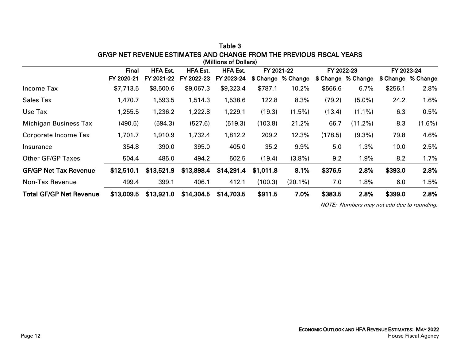|                                | Final<br><b>HFA Est.</b><br><b>HFA Est.</b><br><b>HFA Est.</b><br>FY 2021-22 |            |            | FY 2022-23 |           | FY 2023-24         |         |                           |         |                    |
|--------------------------------|------------------------------------------------------------------------------|------------|------------|------------|-----------|--------------------|---------|---------------------------|---------|--------------------|
|                                | FY 2020-21                                                                   | FY 2021-22 | FY 2022-23 | FY 2023-24 |           | \$ Change % Change |         | <b>\$ Change % Change</b> |         | \$ Change % Change |
| Income Tax                     | \$7,713.5                                                                    | \$8,500.6  | \$9,067.3  | \$9,323.4  | \$787.1   | 10.2%              | \$566.6 | 6.7%                      | \$256.1 | 2.8%               |
| <b>Sales Tax</b>               | 1,470.7                                                                      | 1,593.5    | 1,514.3    | 1,538.6    | 122.8     | 8.3%               | (79.2)  | $(5.0\%)$                 | 24.2    | 1.6%               |
| Use Tax                        | 1,255.5                                                                      | 1,236.2    | 1,222.8    | 1,229.1    | (19.3)    | $(1.5\%)$          | (13.4)  | $(1.1\%)$                 | 6.3     | 0.5%               |
| <b>Michigan Business Tax</b>   | (490.5)                                                                      | (594.3)    | (527.6)    | (519.3)    | (103.8)   | 21.2%              | 66.7    | $(11.2\%)$                | 8.3     | $(1.6\%)$          |
| Corporate Income Tax           | 1,701.7                                                                      | 1,910.9    | 1,732.4    | 1,812.2    | 209.2     | 12.3%              | (178.5) | $(9.3\%)$                 | 79.8    | 4.6%               |
| Insurance                      | 354.8                                                                        | 390.0      | 395.0      | 405.0      | 35.2      | 9.9%               | 5.0     | 1.3%                      | 10.0    | 2.5%               |
| <b>Other GF/GP Taxes</b>       | 504.4                                                                        | 485.0      | 494.2      | 502.5      | (19.4)    | $(3.8\%)$          | 9.2     | 1.9%                      | 8.2     | 1.7%               |
| <b>GF/GP Net Tax Revenue</b>   | \$12,510.1                                                                   | \$13,521.9 | \$13,898.4 | \$14,291.4 | \$1,011.8 | 8.1%               | \$376.5 | 2.8%                      | \$393.0 | 2.8%               |
| Non-Tax Revenue                | 499.4                                                                        | 399.1      | 406.1      | 412.1      | (100.3)   | $(20.1\%)$         | 7.0     | 1.8%                      | 6.0     | 1.5%               |
| <b>Total GF/GP Net Revenue</b> | \$13,009.5                                                                   | \$13,921.0 | \$14,304.5 | \$14,703.5 | \$911.5   | 7.0%               | \$383.5 | 2.8%                      | \$399.0 | 2.8%               |

Table 3 GF/GP NET REVENUE ESTIMATES AND CHANGE FROM THE PREVIOUS FISCAL YEARS (Millions of Dollars)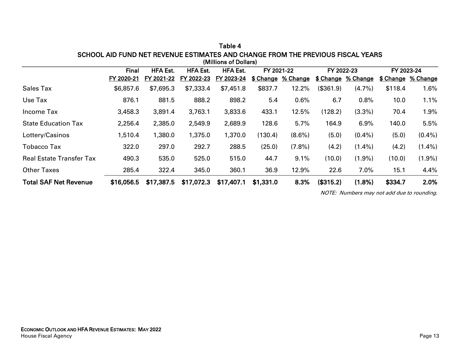|                                 | Final<br><b>HFA Est.</b><br><b>HFA Est.</b><br><b>HFA Est.</b><br>FY 2021-22 |            |            |            | FY 2022-23 |                           | FY 2023-24 |                    |         |                           |
|---------------------------------|------------------------------------------------------------------------------|------------|------------|------------|------------|---------------------------|------------|--------------------|---------|---------------------------|
|                                 | FY 2020-21                                                                   | FY 2021-22 | FY 2022-23 | FY 2023-24 |            | <b>\$ Change % Change</b> |            | \$ Change % Change |         | <b>\$ Change % Change</b> |
| <b>Sales Tax</b>                | \$6,857.6                                                                    | \$7,695.3  | \$7,333.4  | \$7,451.8  | \$837.7    | 12.2%                     | (\$361.9)  | $(4.7\%)$          | \$118.4 | 1.6%                      |
| Use Tax                         | 876.1                                                                        | 881.5      | 888.2      | 898.2      | 5.4        | 0.6%                      | 6.7        | 0.8%               | 10.0    | 1.1%                      |
| Income Tax                      | 3,458.3                                                                      | 3,891.4    | 3,763.1    | 3,833.6    | 433.1      | 12.5%                     | (128.2)    | $(3.3\%)$          | 70.4    | 1.9%                      |
| <b>State Education Tax</b>      | 2,256.4                                                                      | 2,385.0    | 2,549.9    | 2,689.9    | 128.6      | 5.7%                      | 164.9      | 6.9%               | 140.0   | 5.5%                      |
| Lottery/Casinos                 | 1,510.4                                                                      | 1,380.0    | 1,375.0    | 1,370.0    | (130.4)    | $(8.6\%)$                 | (5.0)      | $(0.4\%)$          | (5.0)   | $(0.4\%)$                 |
| <b>Tobacco Tax</b>              | 322.0                                                                        | 297.0      | 292.7      | 288.5      | (25.0)     | $(7.8\%)$                 | (4.2)      | $(1.4\%)$          | (4.2)   | $(1.4\%)$                 |
| <b>Real Estate Transfer Tax</b> | 490.3                                                                        | 535.0      | 525.0      | 515.0      | 44.7       | 9.1%                      | (10.0)     | $(1.9\%)$          | (10.0)  | $(1.9\%)$                 |
| <b>Other Taxes</b>              | 285.4                                                                        | 322.4      | 345.0      | 360.1      | 36.9       | 12.9%                     | 22.6       | 7.0%               | 15.1    | 4.4%                      |
| <b>Total SAF Net Revenue</b>    | \$16,056.5                                                                   | \$17,387.5 | \$17,072.3 | \$17,407.1 | \$1,331.0  | 8.3%                      | (\$315.2)  | $(1.8\%)$          | \$334.7 | 2.0%                      |

Table 4 SCHOOL AID FUND NET REVENUE ESTIMATES AND CHANGE FROM THE PREVIOUS FISCAL YEARS (Millions of Dollars)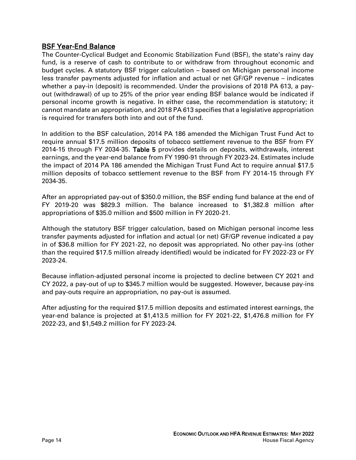### BSF Year-End Balance

The Counter-Cyclical Budget and Economic Stabilization Fund (BSF), the state's rainy day fund, is a reserve of cash to contribute to or withdraw from throughout economic and budget cycles. A statutory BSF trigger calculation – based on Michigan personal income less transfer payments adjusted for inflation and actual or net GF/GP revenue – indicates whether a pay-in (deposit) is recommended. Under the provisions of 2018 PA 613, a payout (withdrawal) of up to 25% of the prior year ending BSF balance would be indicated if personal income growth is negative. In either case, the recommendation is statutory; it cannot mandate an appropriation, and 2018 PA 613 specifies that a legislative appropriation is required for transfers both into and out of the fund.

In addition to the BSF calculation, 2014 PA 186 amended the Michigan Trust Fund Act to require annual \$17.5 million deposits of tobacco settlement revenue to the BSF from FY 2014-15 through FY 2034-35. Table 5 provides details on deposits, withdrawals, interest earnings, and the year-end balance from FY 1990-91 through FY 2023-24. Estimates include the impact of 2014 PA 186 amended the Michigan Trust Fund Act to require annual \$17.5 million deposits of tobacco settlement revenue to the BSF from FY 2014-15 through FY 2034-35.

After an appropriated pay-out of \$350.0 million, the BSF ending fund balance at the end of FY 2019-20 was \$829.3 million. The balance increased to \$1,382.8 million after appropriations of \$35.0 million and \$500 million in FY 2020-21.

Although the statutory BSF trigger calculation, based on Michigan personal income less transfer payments adjusted for inflation and actual (or net) GF/GP revenue indicated a pay in of \$36.8 million for FY 2021-22, no deposit was appropriated. No other pay-ins (other than the required \$17.5 million already identified) would be indicated for FY 2022-23 or FY 2023-24.

Because inflation-adjusted personal income is projected to decline between CY 2021 and CY 2022, a pay-out of up to \$345.7 million would be suggested. However, because pay-ins and pay-outs require an appropriation, no pay-out is assumed.

After adjusting for the required \$17.5 million deposits and estimated interest earnings, the year-end balance is projected at \$1,413.5 million for FY 2021-22, \$1,476.8 million for FY 2022-23, and \$1,549.2 million for FY 2023-24.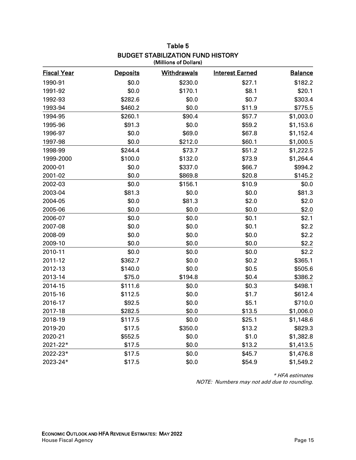| <b>Fiscal Year</b> | <b>Deposits</b> | <b>Withdrawals</b> | <b>Interest Earned</b> | <b>Balance</b> |
|--------------------|-----------------|--------------------|------------------------|----------------|
| 1990-91            | \$0.0           | \$230.0            | \$27.1                 | \$182.2        |
| 1991-92            | \$0.0           | \$170.1            | \$8.1                  | \$20.1         |
| 1992-93            | \$282.6         | \$0.0              | \$0.7                  | \$303.4        |
| 1993-94            | \$460.2         | \$0.0              | \$11.9                 | \$775.5        |
| 1994-95            | \$260.1         | \$90.4             | \$57.7                 | \$1,003.0      |
| 1995-96            | \$91.3          | \$0.0              | \$59.2                 | \$1,153.6      |
| 1996-97            | \$0.0           | \$69.0             | \$67.8                 | \$1,152.4      |
| 1997-98            | \$0.0           | \$212.0            | \$60.1                 | \$1,000.5      |
| 1998-99            | \$244.4         | \$73.7             | \$51.2                 | \$1,222.5      |
| 1999-2000          | \$100.0         | \$132.0            | \$73.9                 | \$1,264.4      |
| 2000-01            | \$0.0           | \$337.0            | \$66.7                 | \$994.2        |
| 2001-02            | \$0.0           | \$869.8            | \$20.8                 | \$145.2        |
| 2002-03            | \$0.0           | \$156.1            | \$10.9                 | \$0.0          |
| 2003-04            | \$81.3          | \$0.0              | \$0.0                  | \$81.3         |
| 2004-05            | \$0.0           | \$81.3             | \$2.0                  | \$2.0          |
| 2005-06            | \$0.0           | \$0.0              | \$0.0                  | \$2.0          |
| 2006-07            | \$0.0           | \$0.0              | \$0.1                  | \$2.1          |
| 2007-08            | \$0.0           | \$0.0              | \$0.1                  | \$2.2          |
| 2008-09            | \$0.0           | \$0.0              | \$0.0                  | \$2.2          |
| 2009-10            | \$0.0           | \$0.0              | \$0.0                  | \$2.2          |
| 2010-11            | \$0.0           | \$0.0              | \$0.0                  | \$2.2          |
| 2011-12            | \$362.7         | \$0.0              | \$0.2                  | \$365.1        |
| 2012-13            | \$140.0         | \$0.0              | \$0.5                  | \$505.6        |
| 2013-14            | \$75.0          | \$194.8            | \$0.4                  | \$386.2        |
| 2014-15            | \$111.6         | \$0.0              | \$0.3                  | \$498.1        |
| 2015-16            | \$112.5         | \$0.0              | \$1.7                  | \$612.4        |
| 2016-17            | \$92.5          | \$0.0              | \$5.1                  | \$710.0        |
| 2017-18            | \$282.5         | \$0.0              | \$13.5                 | \$1,006.0      |
| 2018-19            | \$117.5         | \$0.0              | \$25.1                 | \$1,148.6      |
| 2019-20            | \$17.5          | \$350.0            | \$13.2                 | \$829.3        |
| 2020-21            | \$552.5         | \$0.0              | \$1.0                  | \$1,382.8      |
| 2021-22*           | \$17.5          | \$0.0              | \$13.2                 | \$1,413.5      |
| 2022-23*           | \$17.5          | \$0.0              | \$45.7                 | \$1,476.8      |
| 2023-24*           | \$17.5          | \$0.0              | \$54.9                 | \$1,549.2      |

#### Table 5 BUDGET STABILIZATION FUND HISTORY (Millions of Dollars)

\* HFA estimates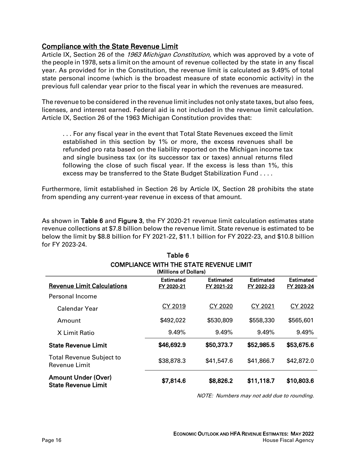### Compliance with the State Revenue Limit

Article IX, Section 26 of the 1963 Michigan Constitution, which was approved by a vote of the people in 1978, sets a limit on the amount of revenue collected by the state in any fiscal year. As provided for in the Constitution, the revenue limit is calculated as 9.49% of total state personal income (which is the broadest measure of state economic activity) in the previous full calendar year prior to the fiscal year in which the revenues are measured.

The revenue to be considered in the revenue limit includes not only state taxes, but also fees, licenses, and interest earned. Federal aid is not included in the revenue limit calculation. Article IX, Section 26 of the 1963 Michigan Constitution provides that:

. . . For any fiscal year in the event that Total State Revenues exceed the limit established in this section by 1% or more, the excess revenues shall be refunded pro rata based on the liability reported on the Michigan income tax and single business tax (or its successor tax or taxes) annual returns filed following the close of such fiscal year. If the excess is less than 1%, this excess may be transferred to the State Budget Stabilization Fund . . . .

Furthermore, limit established in Section 26 by Article IX, Section 28 prohibits the state from spending any current-year revenue in excess of that amount.

As shown in Table 6 and Figure 3, the FY 2020-21 revenue limit calculation estimates state revenue collections at \$7.8 billion below the revenue limit. State revenue is estimated to be below the limit by \$8.8 billion for FY 2021-22, \$11.1 billion for FY 2022-23, and \$10.8 billion for FY 2023-24.

Table 6

| <b>COMPLIANCE WITH THE STATE REVENUE LIMIT</b><br>(Millions of Dollars)                                                                                                   |            |            |            |            |  |  |  |  |  |
|---------------------------------------------------------------------------------------------------------------------------------------------------------------------------|------------|------------|------------|------------|--|--|--|--|--|
| <b>Estimated</b><br><b>Estimated</b><br><b>Estimated</b><br><b>Estimated</b><br><b>Revenue Limit Calculations</b><br>FY 2020-21<br>FY 2021-22<br>FY 2022-23<br>FY 2023-24 |            |            |            |            |  |  |  |  |  |
| Personal Income                                                                                                                                                           |            |            |            |            |  |  |  |  |  |
| Calendar Year                                                                                                                                                             | CY 2019    | CY 2020    | CY 2021    | CY 2022    |  |  |  |  |  |
| Amount                                                                                                                                                                    | \$492,022  | \$530,809  | \$558,330  | \$565,601  |  |  |  |  |  |
| X Limit Ratio                                                                                                                                                             | 9.49%      | 9.49%      | 9.49%      | 9.49%      |  |  |  |  |  |
| <b>State Revenue Limit</b>                                                                                                                                                | \$46,692.9 | \$50,373.7 | \$52,985.5 | \$53,675.6 |  |  |  |  |  |
| <b>Total Revenue Subject to</b><br>Revenue Limit                                                                                                                          | \$38,878.3 | \$41,547.6 | \$41,866.7 | \$42,872.0 |  |  |  |  |  |
| <b>Amount Under (Over)</b><br><b>State Revenue Limit</b>                                                                                                                  | \$7,814.6  | \$8,826.2  | \$11,118.7 | \$10,803.6 |  |  |  |  |  |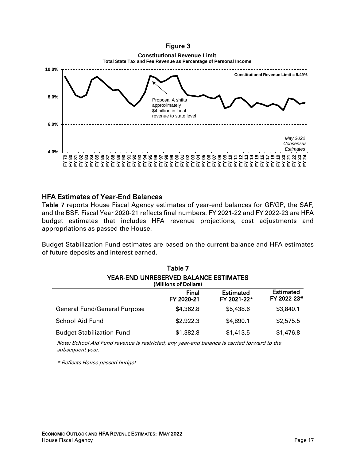### Figure 3

### **Constitutional Revenue Limit**



### HFA Estimates of Year-End Balances

Table 7 reports House Fiscal Agency estimates of year-end balances for GF/GP, the SAF, and the BSF. Fiscal Year 2020-21 reflects final numbers. FY 2021-22 and FY 2022-23 are HFA budget estimates that includes HFA revenue projections, cost adjustments and appropriations as passed the House.

Budget Stabilization Fund estimates are based on the current balance and HFA estimates of future deposits and interest earned.

| Table 7                                                               |                     |                                 |                                 |  |  |  |  |  |
|-----------------------------------------------------------------------|---------------------|---------------------------------|---------------------------------|--|--|--|--|--|
| <b>YEAR-END UNRESERVED BALANCE ESTIMATES</b><br>(Millions of Dollars) |                     |                                 |                                 |  |  |  |  |  |
|                                                                       | Final<br>FY 2020-21 | <b>Estimated</b><br>FY 2021-22* | <b>Estimated</b><br>FY 2022-23* |  |  |  |  |  |
| <b>General Fund/General Purpose</b>                                   | \$4,362.8           | \$5,438.6                       | \$3,840.1                       |  |  |  |  |  |
| School Aid Fund                                                       | \$2,922.3           | \$4,890.1                       | \$2,575.5                       |  |  |  |  |  |
| <b>Budget Stabilization Fund</b>                                      | \$1,382.8           | \$1,413.5                       | \$1,476.8                       |  |  |  |  |  |

Note: School Aid Fund revenue is restricted; any year-end balance is carried forward to the subsequent year.

\* Reflects House passed budget